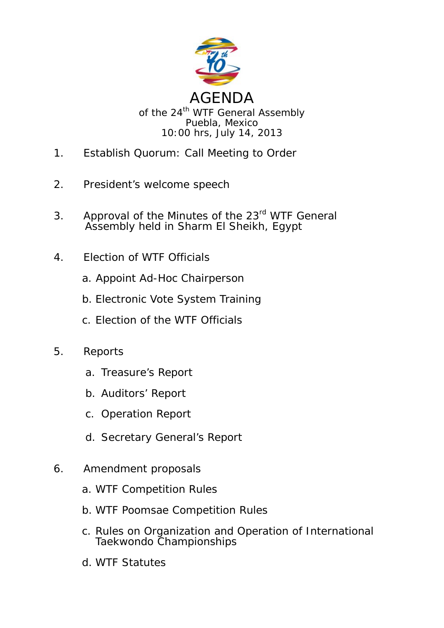

- 1. Establish Quorum: Call Meeting to Order
- 2. President's welcome speech
- 3. Approval of the Minutes of the 23<sup>rd</sup> WTF General Assembly held in Sharm El Sheikh, Egypt
- 4. Election of WTF Officials
	- a. Appoint Ad-Hoc Chairperson
	- b. Electronic Vote System Training
	- c. Election of the WTF Officials
- 5. Reports
	- a. Treasure's Report
	- b. Auditors' Report
	- c. Operation Report
	- d. Secretary General's Report
- 6. Amendment proposals
	- a. WTF Competition Rules
	- b. WTF Poomsae Competition Rules
	- c. Rules on Organization and Operation of International Taekwondo Championships
	- d. WTF Statutes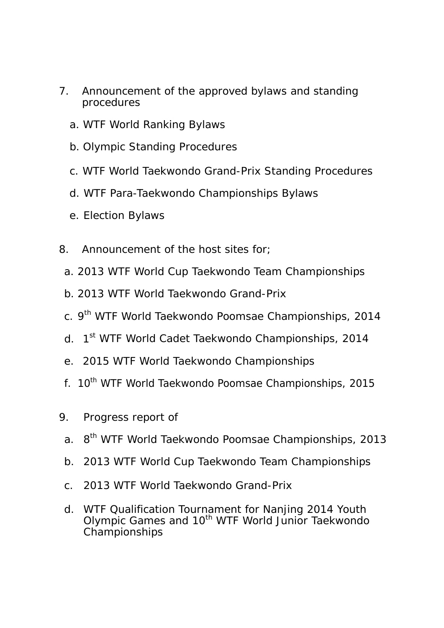- 7. Announcement of the approved bylaws and standing procedures
	- a. WTF World Ranking Bylaws
	- b. Olympic Standing Procedures
	- c. WTF World Taekwondo Grand-Prix Standing Procedures
	- d. WTF Para-Taekwondo Championships Bylaws
	- e. Election Bylaws
- 8. Announcement of the host sites for;
	- a. 2013 WTF World Cup Taekwondo Team Championships
	- b. 2013 WTF World Taekwondo Grand-Prix
	- c. 9<sup>th</sup> WTF World Taekwondo Poomsae Championships, 2014
	- d. 1st WTF World Cadet Taekwondo Championships, 2014
	- e. 2015 WTF World Taekwondo Championships
- f. 10<sup>th</sup> WTF World Taekwondo Poomsae Championships, 2015
- 9. Progress report of
	- a. 8th WTF World Taekwondo Poomsae Championships, 2013
	- b. 2013 WTF World Cup Taekwondo Team Championships
	- c. 2013 WTF World Taekwondo Grand-Prix
	- d. WTF Qualification Tournament for Nanjing 2014 Youth Olympic Games and 10<sup>th</sup> WTF World Junior Taekwondo Championships